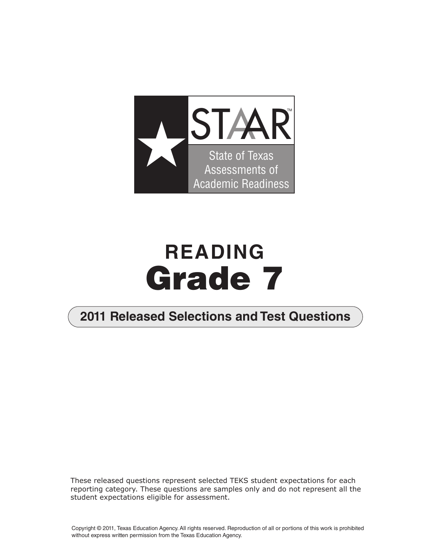

# **READING Grade 7**

### **2011 Released Selections and Test Questions**

These released questions represent selected TEKS student expectations for each reporting category. These questions are samples only and do not represent all the student expectations eligible for assessment.

Copyright © 2011, Texas Education Agency. All rights reserved. Reproduction of all or portions of this work is prohibited without express written permission from the Texas Education Agency.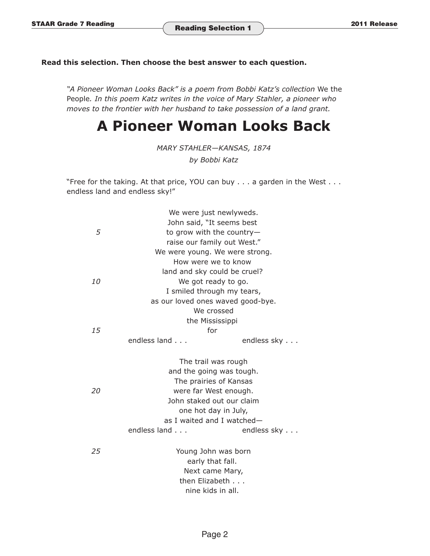#### **Read this selection. Then choose the best answer to each question.**

*"A Pioneer Woman Looks Back" is a poem from Bobbi Katz's collection* We the People*. In this poem Katz writes in the voice of Mary Stahler, a pioneer who moves to the frontier with her husband to take possession of a land grant.* 

## **A Pioneer Woman Looks Back**

*MARY STAHLER—KANSAS, 1874* 

*by Bobbi Katz* 

"Free for the taking. At that price, YOU can buy . . . a garden in the West . . . endless land and endless sky!"

|           | We were just newlyweds.                            |             |  |  |
|-----------|----------------------------------------------------|-------------|--|--|
|           | John said, "It seems best                          |             |  |  |
| 5         | to grow with the country-                          |             |  |  |
|           | raise our family out West."                        |             |  |  |
|           | We were young. We were strong.                     |             |  |  |
|           | How were we to know                                |             |  |  |
|           | land and sky could be cruel?                       |             |  |  |
| <i>10</i> | We got ready to go.                                |             |  |  |
|           | I smiled through my tears,                         |             |  |  |
|           | as our loved ones waved good-bye.                  |             |  |  |
|           | We crossed                                         |             |  |  |
|           | the Mississippi                                    |             |  |  |
| 15        | for                                                |             |  |  |
|           | endless land                                       | endless sky |  |  |
|           |                                                    |             |  |  |
|           | The trail was rough                                |             |  |  |
|           | and the going was tough.                           |             |  |  |
|           | The prairies of Kansas                             |             |  |  |
| 20        | were far West enough.                              |             |  |  |
|           | John staked out our claim                          |             |  |  |
|           | one hot day in July,<br>as I waited and I watched- |             |  |  |
|           | endless land                                       | endless sky |  |  |
|           |                                                    |             |  |  |
| 25        | Young John was born                                |             |  |  |
|           | early that fall.                                   |             |  |  |
|           | Next came Mary,                                    |             |  |  |
|           | then Elizabeth                                     |             |  |  |
|           | nine kids in all.                                  |             |  |  |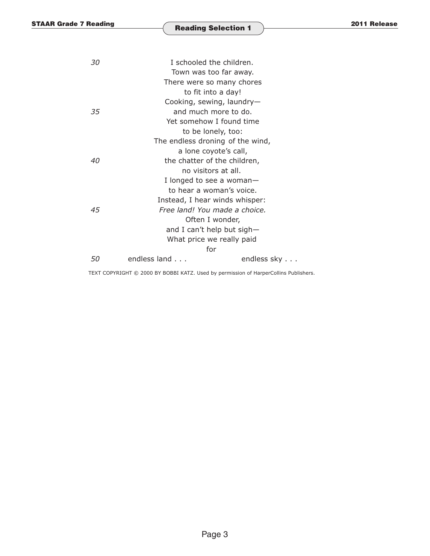| I schooled the children.<br>30 |                                  |             |  |
|--------------------------------|----------------------------------|-------------|--|
|                                | Town was too far away.           |             |  |
|                                | There were so many chores        |             |  |
|                                | to fit into a day!               |             |  |
|                                | Cooking, sewing, laundry-        |             |  |
| 35                             | and much more to do.             |             |  |
|                                | Yet somehow I found time         |             |  |
|                                | to be lonely, too:               |             |  |
|                                | The endless droning of the wind, |             |  |
|                                | a lone coyote's call,            |             |  |
| 40                             | the chatter of the children,     |             |  |
|                                | no visitors at all.              |             |  |
|                                | I longed to see a woman-         |             |  |
|                                | to hear a woman's voice.         |             |  |
|                                | Instead, I hear winds whisper:   |             |  |
| 45                             | Free land! You made a choice.    |             |  |
|                                | Often I wonder,                  |             |  |
|                                | and I can't help but sigh-       |             |  |
|                                | What price we really paid        |             |  |
|                                | for                              |             |  |
| 50                             | endless land                     | endless sky |  |
|                                |                                  |             |  |

TEXT COPYRIGHT © 2000 BY BOBBI KATZ. Used by permission of HarperCollins Publishers.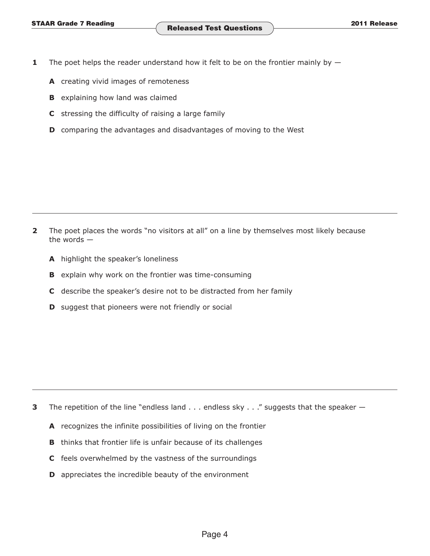- **1** The poet helps the reader understand how it felt to be on the frontier mainly by  $-$ 
	- **A** creating vivid images of remoteness
	- **B** explaining how land was claimed
	- **C** stressing the difficulty of raising a large family
	- **D** comparing the advantages and disadvantages of moving to the West

**2** The poet places the words "no visitors at all" on a line by themselves most likely because the words —

- **A** highlight the speaker's loneliness
- **B** explain why work on the frontier was time-consuming
- **C** describe the speaker's desire not to be distracted from her family
- **D** suggest that pioneers were not friendly or social

- **3** The repetition of the line "endless land  $\dots$  endless sky  $\dots$ " suggests that the speaker  $-$ 
	- **A** recognizes the infinite possibilities of living on the frontier
	- **B** thinks that frontier life is unfair because of its challenges
	- **C** feels overwhelmed by the vastness of the surroundings
	- **D** appreciates the incredible beauty of the environment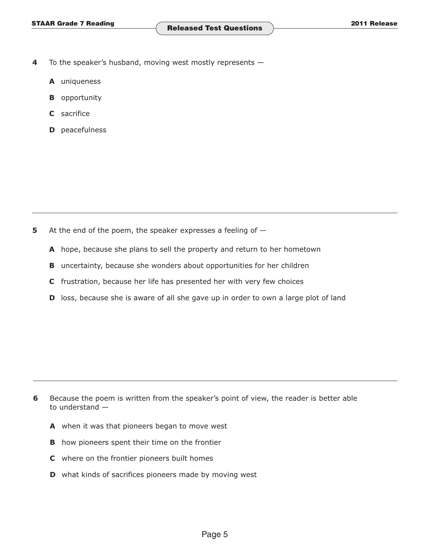- **4** To the speaker's husband, moving west mostly represents
	- **A** uniqueness
	- **B** opportunity
	- **C** sacrifice
	- **D** peacefulness

- **5** At the end of the poem, the speaker expresses a feeling of  $-$ 
	- **A** hope, because she plans to sell the property and return to her hometown
	- **B** uncertainty, because she wonders about opportunities for her children
	- **C** frustration, because her life has presented her with very few choices
	- **D** loss, because she is aware of all she gave up in order to own a large plot of land

- **6** Because the poem is written from the speaker's point of view, the reader is better able to understand —
	- **A** when it was that pioneers began to move west
	- **B** how pioneers spent their time on the frontier
	- **C** where on the frontier pioneers built homes
	- **D** what kinds of sacrifices pioneers made by moving west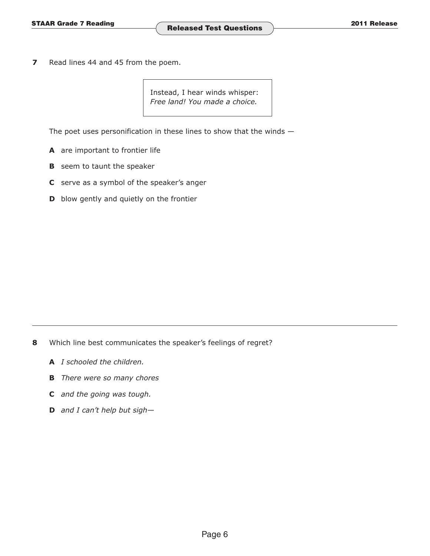**7** Read lines 44 and 45 from the poem.

> Instead, I hear winds whisper: *Free land! You made a choice.*

The poet uses personification in these lines to show that the winds  $-$ 

- **A** are important to frontier life
- **B** seem to taunt the speaker
- **C** serve as a symbol of the speaker's anger
- **D** blow gently and quietly on the frontier

- **8** Which line best communicates the speaker's feelings of regret?
	- **A** *I schooled the children.*
	- **B** *There were so many chores*
	- **C** *and the going was tough.*
	- **D** *and I can't help but sigh—*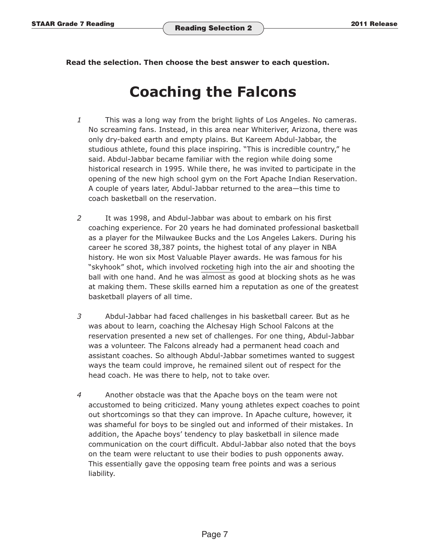**Read the selection. Then choose the best answer to each question.** 

## **Coaching the Falcons**

- *1* This was a long way from the bright lights of Los Angeles. No cameras. No screaming fans. Instead, in this area near Whiteriver, Arizona, there was only dry-baked earth and empty plains. But Kareem Abdul-Jabbar, the studious athlete, found this place inspiring. "This is incredible country," he said. Abdul-Jabbar became familiar with the region while doing some historical research in 1995. While there, he was invited to participate in the opening of the new high school gym on the Fort Apache Indian Reservation. A couple of years later, Abdul-Jabbar returned to the area—this time to coach basketball on the reservation.
- *2* It was 1998, and Abdul-Jabbar was about to embark on his first coaching experience. For 20 years he had dominated professional basketball as a player for the Milwaukee Bucks and the Los Angeles Lakers. During his career he scored 38,387 points, the highest total of any player in NBA history. He won six Most Valuable Player awards. He was famous for his "skyhook" shot, which involved rocketing high into the air and shooting the ball with one hand. And he was almost as good at blocking shots as he was at making them. These skills earned him a reputation as one of the greatest basketball players of all time.
- *3* Abdul-Jabbar had faced challenges in his basketball career. But as he was about to learn, coaching the Alchesay High School Falcons at the reservation presented a new set of challenges. For one thing, Abdul-Jabbar was a volunteer. The Falcons already had a permanent head coach and assistant coaches. So although Abdul-Jabbar sometimes wanted to suggest ways the team could improve, he remained silent out of respect for the head coach. He was there to help, not to take over.
- *4* Another obstacle was that the Apache boys on the team were not accustomed to being criticized. Many young athletes expect coaches to point out shortcomings so that they can improve. In Apache culture, however, it was shameful for boys to be singled out and informed of their mistakes. In addition, the Apache boys' tendency to play basketball in silence made communication on the court difficult. Abdul-Jabbar also noted that the boys on the team were reluctant to use their bodies to push opponents away. This essentially gave the opposing team free points and was a serious liability.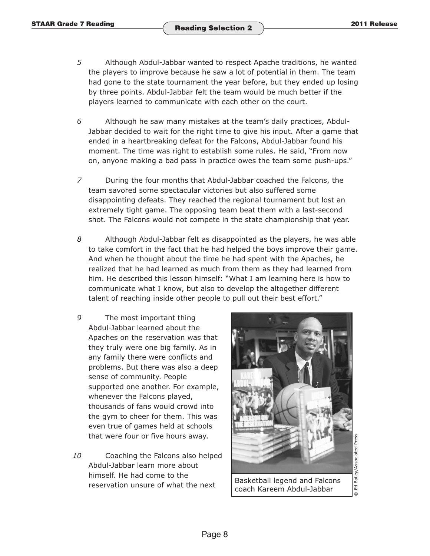- *5* Although Abdul-Jabbar wanted to respect Apache traditions, he wanted the players to improve because he saw a lot of potential in them. The team had gone to the state tournament the year before, but they ended up losing by three points. Abdul-Jabbar felt the team would be much better if the players learned to communicate with each other on the court.
- *6* Although he saw many mistakes at the team's daily practices, Abdul-Jabbar decided to wait for the right time to give his input. After a game that ended in a heartbreaking defeat for the Falcons, Abdul-Jabbar found his moment. The time was right to establish some rules. He said, "From now on, anyone making a bad pass in practice owes the team some push-ups."
- *7* During the four months that Abdul-Jabbar coached the Falcons, the team savored some spectacular victories but also suffered some disappointing defeats. They reached the regional tournament but lost an extremely tight game. The opposing team beat them with a last-second shot. The Falcons would not compete in the state championship that year.
- *8* Although Abdul-Jabbar felt as disappointed as the players, he was able to take comfort in the fact that he had helped the boys improve their game. And when he thought about the time he had spent with the Apaches, he realized that he had learned as much from them as they had learned from him. He described this lesson himself: "What I am learning here is how to communicate what I know, but also to develop the altogether different talent of reaching inside other people to pull out their best effort."
- *9* The most important thing Abdul-Jabbar learned about the Apaches on the reservation was that they truly were one big family. As in any family there were conflicts and problems. But there was also a deep sense of community. People supported one another. For example, whenever the Falcons played, thousands of fans would crowd into the gym to cheer for them. This was even true of games held at schools that were four or five hours away.
- *10* Coaching the Falcons also helped Abdul-Jabbar learn more about himself. He had come to the  $r_{\text{re}}$  reservation unsure of what the next  $\begin{bmatrix} \text{Basketball legend and Falcons} \\ \text{Basketball} \end{bmatrix}$



coach Kareem Abdul-Jabbar

 $\Xi$  $\odot$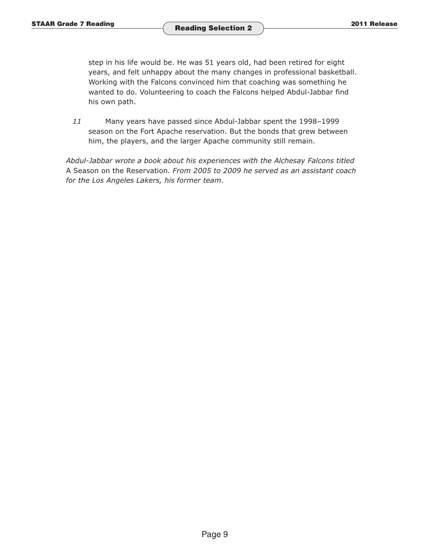step in his life would be. He was 51 years old, had been retired for eight years, and felt unhappy about the many changes in professional basketball. Working with the Falcons convinced him that coaching was something he wanted to do. Volunteering to coach the Falcons helped Abdul-Jabbar find his own path.

*11* Many years have passed since Abdul-Jabbar spent the 1998–1999 season on the Fort Apache reservation. But the bonds that grew between him, the players, and the larger Apache community still remain.

*Abdul-Jabbar wrote a book about his experiences with the Alchesay Falcons titled*  A Season on the Reservation*. From 2005 to 2009 he served as an assistant coach for the Los Angeles Lakers, his former team.*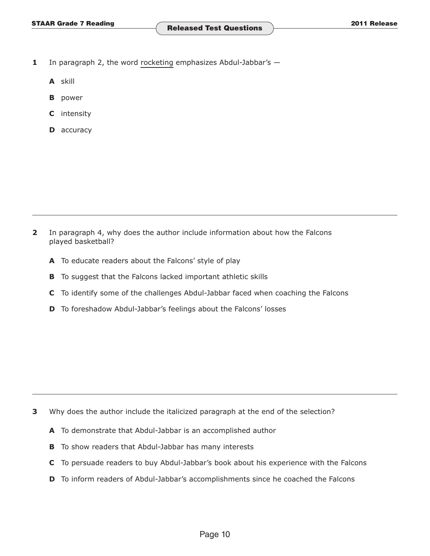- **1** In paragraph 2, the word rocketing emphasizes Abdul-Jabbar's  $-$ 
	- **A** skill
	- **B** power
	- **C** intensity
	- **D** accuracy

**2** In paragraph 4, why does the author include information about how the Falcons played basketball?

- **A** To educate readers about the Falcons' style of play
- **B** To suggest that the Falcons lacked important athletic skills
- **C** To identify some of the challenges Abdul-Jabbar faced when coaching the Falcons
- **D** To foreshadow Abdul-Jabbar's feelings about the Falcons' losses

- **3** Why does the author include the italicized paragraph at the end of the selection?
	- **A** To demonstrate that Abdul-Jabbar is an accomplished author
	- **B** To show readers that Abdul-Jabbar has many interests
	- **C** To persuade readers to buy Abdul-Jabbar's book about his experience with the Falcons
	- **D** To inform readers of Abdul-Jabbar's accomplishments since he coached the Falcons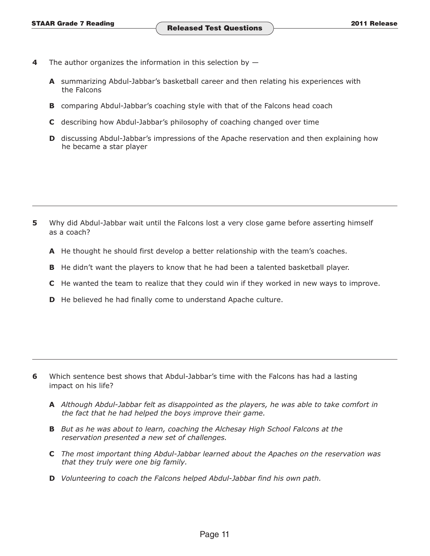- **4** The author organizes the information in this selection by  $-$ 
	- **A** summarizing Abdul-Jabbar's basketball career and then relating his experiences with the Falcons
	- **B** comparing Abdul-Jabbar's coaching style with that of the Falcons head coach
	- **C** describing how Abdul-Jabbar's philosophy of coaching changed over time
	- **D** discussing Abdul-Jabbar's impressions of the Apache reservation and then explaining how he became a star player

- **5** Why did Abdul-Jabbar wait until the Falcons lost a very close game before asserting himself as a coach?
	- **A** He thought he should first develop a better relationship with the team's coaches.
	- **B** He didn't want the players to know that he had been a talented basketball player.
	- **C** He wanted the team to realize that they could win if they worked in new ways to improve.
	- **D** He believed he had finally come to understand Apache culture.

- **6** Which sentence best shows that Abdul-Jabbar's time with the Falcons has had a lasting impact on his life?
	- **A** *Although Abdul-Jabbar felt as disappointed as the players, he was able to take comfort in the fact that he had helped the boys improve their game.*
	- **B** But as he was about to learn, coaching the Alchesay High School Falcons at the *reservation presented a new set of challenges.*
	- **C** *The most important thing Abdul-Jabbar learned about the Apaches on the reservation was that they truly were one big family.*
	- **D** *Volunteering to coach the Falcons helped Abdul-Jabbar find his own path.*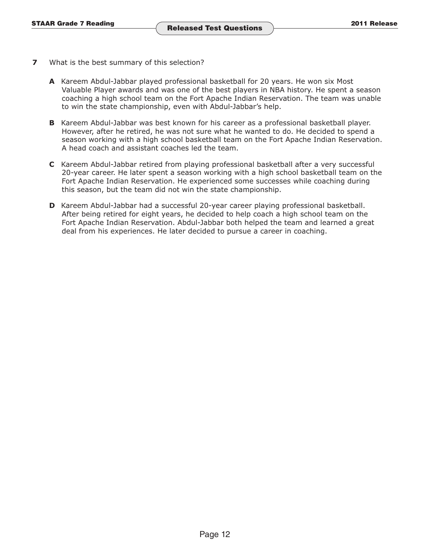- **7** What is the best summary of this selection?
	- **A** Kareem Abdul-Jabbar played professional basketball for 20 years. He won six Most Valuable Player awards and was one of the best players in NBA history. He spent a season coaching a high school team on the Fort Apache Indian Reservation. The team was unable to win the state championship, even with Abdul-Jabbar's help.
	- **B** Kareem Abdul-Jabbar was best known for his career as a professional basketball player. However, after he retired, he was not sure what he wanted to do. He decided to spend a season working with a high school basketball team on the Fort Apache Indian Reservation. A head coach and assistant coaches led the team.
	- **C** Kareem Abdul-Jabbar retired from playing professional basketball after a very successful 20-year career. He later spent a season working with a high school basketball team on the Fort Apache Indian Reservation. He experienced some successes while coaching during this season, but the team did not win the state championship.
	- **D** Kareem Abdul-Jabbar had a successful 20-year career playing professional basketball. After being retired for eight years, he decided to help coach a high school team on the Fort Apache Indian Reservation. Abdul-Jabbar both helped the team and learned a great deal from his experiences. He later decided to pursue a career in coaching.